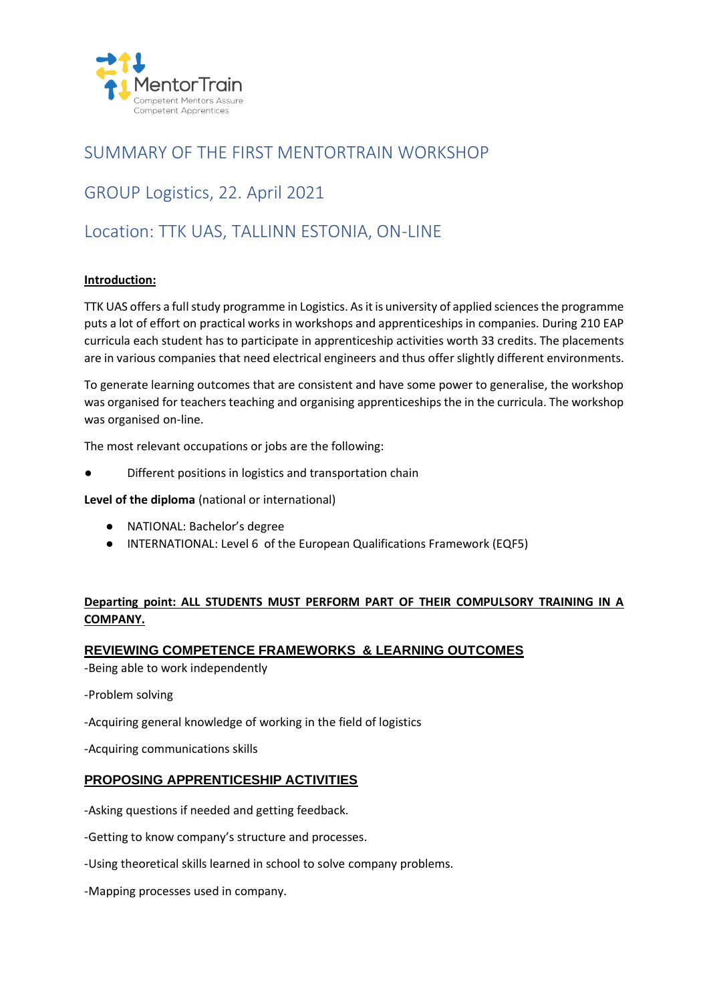

## SUMMARY OF THE FIRST MENTORTRAIN WORKSHOP

# GROUP Logistics, 22. April 2021

## Location: TTK UAS, TALLINN ESTONIA, ON-LINE

## **Introduction:**

TTK UAS offers a full study programme in Logistics. As it is university of applied sciences the programme puts a lot of effort on practical works in workshops and apprenticeships in companies. During 210 EAP curricula each student has to participate in apprenticeship activities worth 33 credits. The placements are in various companies that need electrical engineers and thus offer slightly different environments.

To generate learning outcomes that are consistent and have some power to generalise, the workshop was organised for teachers teaching and organising apprenticeships the in the curricula. The workshop was organised on-line.

The most relevant occupations or jobs are the following:

Different positions in logistics and transportation chain

**Level of the diploma** (national or international)

- NATIONAL: Bachelor's degree
- INTERNATIONAL: Level 6 of the European Qualifications Framework (EQF5)

## **Departing point: ALL STUDENTS MUST PERFORM PART OF THEIR COMPULSORY TRAINING IN A COMPANY.**

### **REVIEWING COMPETENCE FRAMEWORKS & LEARNING OUTCOMES**

-Being able to work independently

-Problem solving

-Acquiring general knowledge of working in the field of logistics

-Acquiring communications skills

## **PROPOSING APPRENTICESHIP ACTIVITIES**

-Asking questions if needed and getting feedback.

-Getting to know company's structure and processes.

- -Using theoretical skills learned in school to solve company problems.
- -Mapping processes used in company.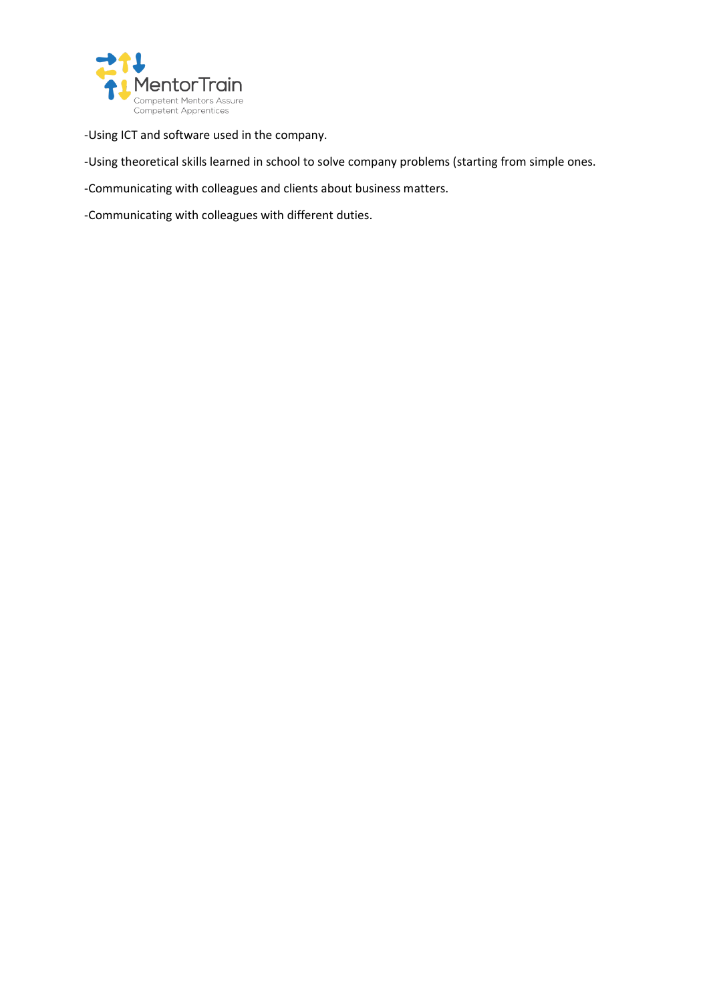

-Using ICT and software used in the company.

-Using theoretical skills learned in school to solve company problems (starting from simple ones.

-Communicating with colleagues and clients about business matters.

-Communicating with colleagues with different duties.